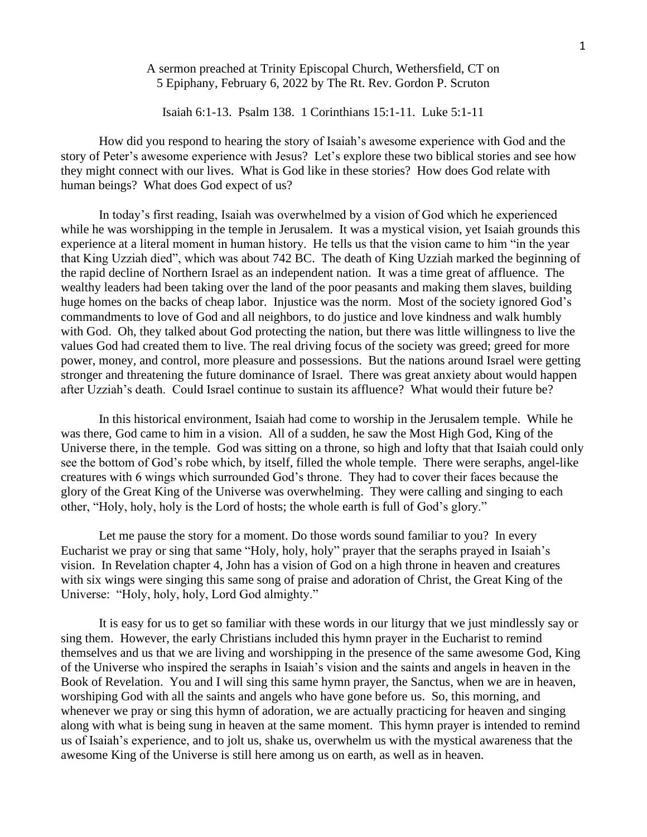## A sermon preached at Trinity Episcopal Church, Wethersfield, CT on 5 Epiphany, February 6, 2022 by The Rt. Rev. Gordon P. Scruton

Isaiah 6:1-13. Psalm 138. 1 Corinthians 15:1-11. Luke 5:1-11

How did you respond to hearing the story of Isaiah's awesome experience with God and the story of Peter's awesome experience with Jesus? Let's explore these two biblical stories and see how they might connect with our lives. What is God like in these stories? How does God relate with human beings? What does God expect of us?

In today's first reading, Isaiah was overwhelmed by a vision of God which he experienced while he was worshipping in the temple in Jerusalem. It was a mystical vision, yet Isaiah grounds this experience at a literal moment in human history. He tells us that the vision came to him "in the year that King Uzziah died", which was about 742 BC. The death of King Uzziah marked the beginning of the rapid decline of Northern Israel as an independent nation. It was a time great of affluence. The wealthy leaders had been taking over the land of the poor peasants and making them slaves, building huge homes on the backs of cheap labor. Injustice was the norm. Most of the society ignored God's commandments to love of God and all neighbors, to do justice and love kindness and walk humbly with God. Oh, they talked about God protecting the nation, but there was little willingness to live the values God had created them to live. The real driving focus of the society was greed; greed for more power, money, and control, more pleasure and possessions. But the nations around Israel were getting stronger and threatening the future dominance of Israel. There was great anxiety about would happen after Uzziah's death. Could Israel continue to sustain its affluence? What would their future be?

In this historical environment, Isaiah had come to worship in the Jerusalem temple. While he was there, God came to him in a vision. All of a sudden, he saw the Most High God, King of the Universe there, in the temple. God was sitting on a throne, so high and lofty that that Isaiah could only see the bottom of God's robe which, by itself, filled the whole temple. There were seraphs, angel-like creatures with 6 wings which surrounded God's throne. They had to cover their faces because the glory of the Great King of the Universe was overwhelming. They were calling and singing to each other, "Holy, holy, holy is the Lord of hosts; the whole earth is full of God's glory."

Let me pause the story for a moment. Do those words sound familiar to you? In every Eucharist we pray or sing that same "Holy, holy, holy" prayer that the seraphs prayed in Isaiah's vision. In Revelation chapter 4, John has a vision of God on a high throne in heaven and creatures with six wings were singing this same song of praise and adoration of Christ, the Great King of the Universe: "Holy, holy, holy, Lord God almighty."

It is easy for us to get so familiar with these words in our liturgy that we just mindlessly say or sing them. However, the early Christians included this hymn prayer in the Eucharist to remind themselves and us that we are living and worshipping in the presence of the same awesome God, King of the Universe who inspired the seraphs in Isaiah's vision and the saints and angels in heaven in the Book of Revelation. You and I will sing this same hymn prayer, the Sanctus, when we are in heaven, worshiping God with all the saints and angels who have gone before us. So, this morning, and whenever we pray or sing this hymn of adoration, we are actually practicing for heaven and singing along with what is being sung in heaven at the same moment. This hymn prayer is intended to remind us of Isaiah's experience, and to jolt us, shake us, overwhelm us with the mystical awareness that the awesome King of the Universe is still here among us on earth, as well as in heaven.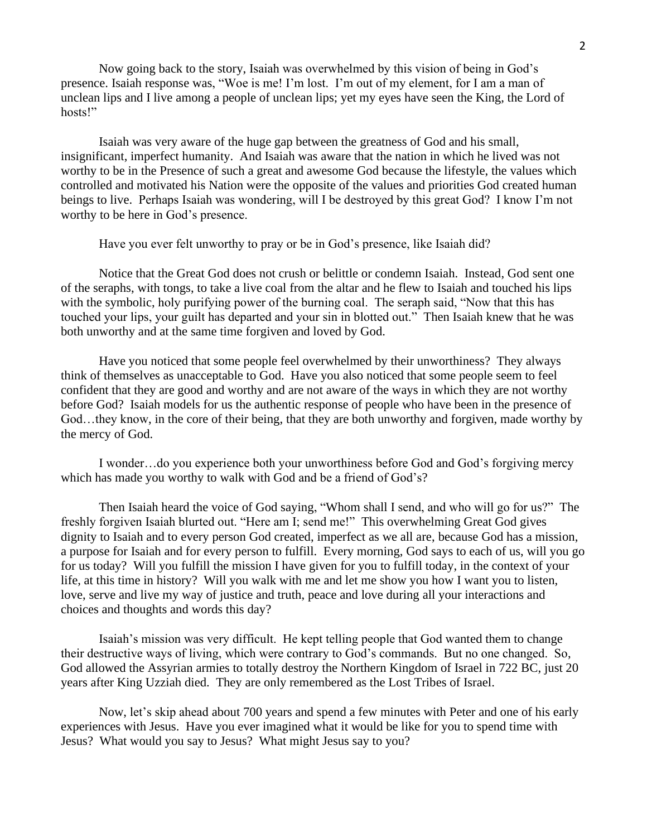Now going back to the story, Isaiah was overwhelmed by this vision of being in God's presence. Isaiah response was, "Woe is me! I'm lost. I'm out of my element, for I am a man of unclean lips and I live among a people of unclean lips; yet my eyes have seen the King, the Lord of hosts!"

Isaiah was very aware of the huge gap between the greatness of God and his small, insignificant, imperfect humanity. And Isaiah was aware that the nation in which he lived was not worthy to be in the Presence of such a great and awesome God because the lifestyle, the values which controlled and motivated his Nation were the opposite of the values and priorities God created human beings to live. Perhaps Isaiah was wondering, will I be destroyed by this great God? I know I'm not worthy to be here in God's presence.

Have you ever felt unworthy to pray or be in God's presence, like Isaiah did?

Notice that the Great God does not crush or belittle or condemn Isaiah. Instead, God sent one of the seraphs, with tongs, to take a live coal from the altar and he flew to Isaiah and touched his lips with the symbolic, holy purifying power of the burning coal. The seraph said, "Now that this has touched your lips, your guilt has departed and your sin in blotted out." Then Isaiah knew that he was both unworthy and at the same time forgiven and loved by God.

Have you noticed that some people feel overwhelmed by their unworthiness? They always think of themselves as unacceptable to God. Have you also noticed that some people seem to feel confident that they are good and worthy and are not aware of the ways in which they are not worthy before God? Isaiah models for us the authentic response of people who have been in the presence of God…they know, in the core of their being, that they are both unworthy and forgiven, made worthy by the mercy of God.

I wonder…do you experience both your unworthiness before God and God's forgiving mercy which has made you worthy to walk with God and be a friend of God's?

Then Isaiah heard the voice of God saying, "Whom shall I send, and who will go for us?" The freshly forgiven Isaiah blurted out. "Here am I; send me!" This overwhelming Great God gives dignity to Isaiah and to every person God created, imperfect as we all are, because God has a mission, a purpose for Isaiah and for every person to fulfill. Every morning, God says to each of us, will you go for us today? Will you fulfill the mission I have given for you to fulfill today, in the context of your life, at this time in history? Will you walk with me and let me show you how I want you to listen, love, serve and live my way of justice and truth, peace and love during all your interactions and choices and thoughts and words this day?

Isaiah's mission was very difficult. He kept telling people that God wanted them to change their destructive ways of living, which were contrary to God's commands. But no one changed. So, God allowed the Assyrian armies to totally destroy the Northern Kingdom of Israel in 722 BC, just 20 years after King Uzziah died. They are only remembered as the Lost Tribes of Israel.

Now, let's skip ahead about 700 years and spend a few minutes with Peter and one of his early experiences with Jesus. Have you ever imagined what it would be like for you to spend time with Jesus? What would you say to Jesus? What might Jesus say to you?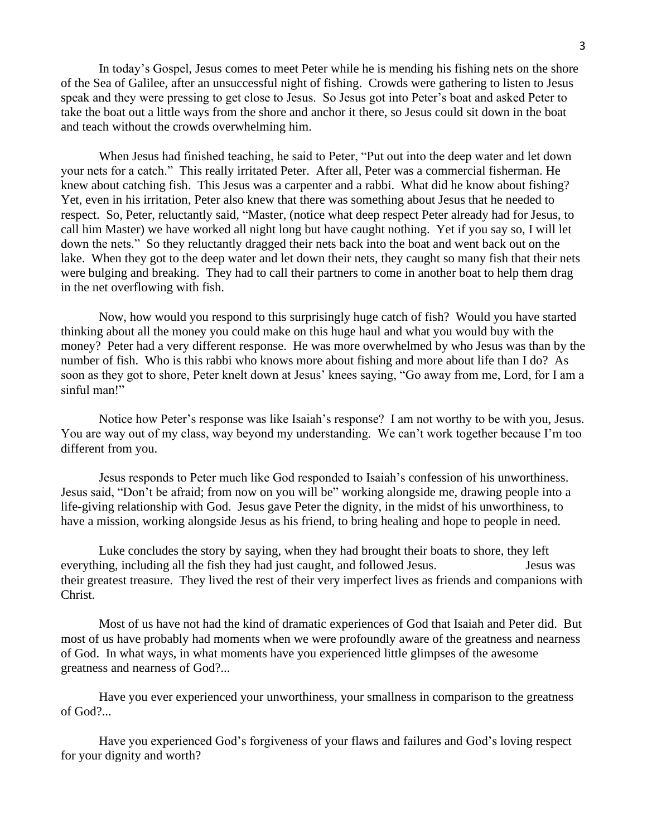In today's Gospel, Jesus comes to meet Peter while he is mending his fishing nets on the shore of the Sea of Galilee, after an unsuccessful night of fishing. Crowds were gathering to listen to Jesus speak and they were pressing to get close to Jesus. So Jesus got into Peter's boat and asked Peter to take the boat out a little ways from the shore and anchor it there, so Jesus could sit down in the boat and teach without the crowds overwhelming him.

When Jesus had finished teaching, he said to Peter, "Put out into the deep water and let down your nets for a catch." This really irritated Peter. After all, Peter was a commercial fisherman. He knew about catching fish. This Jesus was a carpenter and a rabbi. What did he know about fishing? Yet, even in his irritation, Peter also knew that there was something about Jesus that he needed to respect. So, Peter, reluctantly said, "Master, (notice what deep respect Peter already had for Jesus, to call him Master) we have worked all night long but have caught nothing. Yet if you say so, I will let down the nets." So they reluctantly dragged their nets back into the boat and went back out on the lake. When they got to the deep water and let down their nets, they caught so many fish that their nets were bulging and breaking. They had to call their partners to come in another boat to help them drag in the net overflowing with fish.

Now, how would you respond to this surprisingly huge catch of fish? Would you have started thinking about all the money you could make on this huge haul and what you would buy with the money? Peter had a very different response. He was more overwhelmed by who Jesus was than by the number of fish. Who is this rabbi who knows more about fishing and more about life than I do? As soon as they got to shore, Peter knelt down at Jesus' knees saying, "Go away from me, Lord, for I am a sinful man!"

Notice how Peter's response was like Isaiah's response? I am not worthy to be with you, Jesus. You are way out of my class, way beyond my understanding. We can't work together because I'm too different from you.

Jesus responds to Peter much like God responded to Isaiah's confession of his unworthiness. Jesus said, "Don't be afraid; from now on you will be" working alongside me, drawing people into a life-giving relationship with God. Jesus gave Peter the dignity, in the midst of his unworthiness, to have a mission, working alongside Jesus as his friend, to bring healing and hope to people in need.

Luke concludes the story by saying, when they had brought their boats to shore, they left everything, including all the fish they had just caught, and followed Jesus. Jesus was their greatest treasure. They lived the rest of their very imperfect lives as friends and companions with Christ.

Most of us have not had the kind of dramatic experiences of God that Isaiah and Peter did. But most of us have probably had moments when we were profoundly aware of the greatness and nearness of God. In what ways, in what moments have you experienced little glimpses of the awesome greatness and nearness of God?...

Have you ever experienced your unworthiness, your smallness in comparison to the greatness of God?...

Have you experienced God's forgiveness of your flaws and failures and God's loving respect for your dignity and worth?